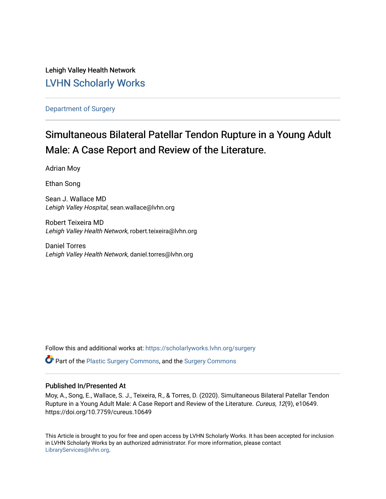Lehigh Valley Health Network [LVHN Scholarly Works](https://scholarlyworks.lvhn.org/)

[Department of Surgery](https://scholarlyworks.lvhn.org/surgery) 

# Simultaneous Bilateral Patellar Tendon Rupture in a Young Adult Male: A Case Report and Review of the Literature.

Adrian Moy

Ethan Song

Sean J. Wallace MD Lehigh Valley Hospital, sean.wallace@lvhn.org

Robert Teixeira MD Lehigh Valley Health Network, robert.teixeira@lvhn.org

Daniel Torres Lehigh Valley Health Network, daniel.torres@lvhn.org

Follow this and additional works at: [https://scholarlyworks.lvhn.org/surgery](https://scholarlyworks.lvhn.org/surgery?utm_source=scholarlyworks.lvhn.org%2Fsurgery%2F1556&utm_medium=PDF&utm_campaign=PDFCoverPages)

**C** Part of the [Plastic Surgery Commons](https://network.bepress.com/hgg/discipline/701?utm_source=scholarlyworks.lvhn.org%2Fsurgery%2F1556&utm_medium=PDF&utm_campaign=PDFCoverPages), and the Surgery Commons

### Published In/Presented At

Moy, A., Song, E., Wallace, S. J., Teixeira, R., & Torres, D. (2020). Simultaneous Bilateral Patellar Tendon Rupture in a Young Adult Male: A Case Report and Review of the Literature. Cureus, 12(9), e10649. https://doi.org/10.7759/cureus.10649

This Article is brought to you for free and open access by LVHN Scholarly Works. It has been accepted for inclusion in LVHN Scholarly Works by an authorized administrator. For more information, please contact [LibraryServices@lvhn.org](mailto:LibraryServices@lvhn.org).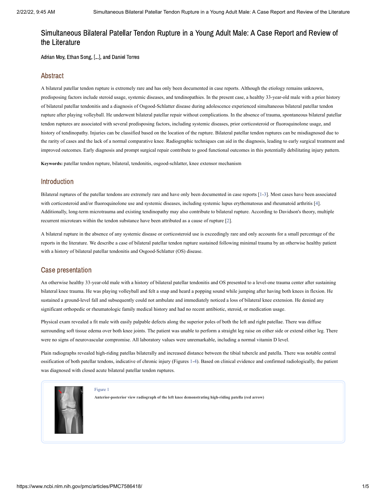## Simultaneous Bilateral Patellar Tendon Rupture in a Young Adult Male: A Case Report and Review of the Literature

Adrian Moy, Ethan Song, [...], and Daniel Torres

### Abstract

A bilateral patellar tendon rupture is extremely rare and has only been documented in case reports. Although the etiology remains unknown, predisposing factors include steroid usage, systemic diseases, and tendinopathies. In the present case, a healthy 33-year-old male with a prior history of bilateral patellar tendonitis and a diagnosis of Osgood-Schlatter disease during adolescence experienced simultaneous bilateral patellar tendon rupture after playing volleyball. He underwent bilateral patellar repair without complications. In the absence of trauma, spontaneous bilateral patellar tendon ruptures are associated with several predisposing factors, including systemic diseases, prior corticosteroid or fluoroquinolone usage, and history of tendinopathy. Injuries can be classified based on the location of the rupture. Bilateral patellar tendon ruptures can be misdiagnosed due to the rarity of cases and the lack of a normal comparative knee. Radiographic techniques can aid in the diagnosis, leading to early surgical treatment and improved outcomes. Early diagnosis and prompt surgical repair contribute to good functional outcomes in this potentially debilitating injury pattern.

**Keywords:** patellar tendon rupture, bilateral, tendonitis, osgood-schlatter, knee extensor mechanism

### Introduction

Bilateral ruptures of the patellar tendons are extremely rare and have only been documented in case reports [[1-](#page-4-0)[3\]](#page-4-1). Most cases have been associated with corticosteroid and/or fluoroquinolone use and systemic diseases, including systemic lupus erythematosus and rheumatoid arthritis [[4](#page-4-2)]. Additionally, long-term microtrauma and existing tendinopathy may also contribute to bilateral rupture. According to Davidson's theory, multiple recurrent microtears within the tendon substance have been attributed as a cause of rupture [[2\]](#page-4-3).

A bilateral rupture in the absence of any systemic disease or corticosteroid use is exceedingly rare and only accounts for a small percentage of the reports in the literature. We describe a case of bilateral patellar tendon rupture sustained following minimal trauma by an otherwise healthy patient with a history of bilateral patellar tendonitis and Osgood-Schlatter (OS) disease.

### Case presentation

An otherwise healthy 33-year-old male with a history of bilateral patellar tendonitis and OS presented to a level-one trauma center after sustaining bilateral knee trauma. He was playing volleyball and felt a snap and heard a popping sound while jumping after having both knees in flexion. He sustained a ground-level fall and subsequently could not ambulate and immediately noticed a loss of bilateral knee extension. He denied any significant orthopedic or rheumatologic family medical history and had no recent antibiotic, steroid, or medication usage.

Physical exam revealed a fit male with easily palpable defects along the superior poles of both the left and right patellae. There was diffuse surrounding soft tissue edema over both knee joints. The patient was unable to perform a straight leg raise on either side or extend either leg. There were no signs of neurovascular compromise. All laboratory values were unremarkable, including a normal vitamin D level.

Plain radiographs revealed high-riding patellas bilaterally and increased distance between the tibial tubercle and patella. There was notable central ossification of both patellar tendons, indicative of chronic injury [\(Figures](https://www.ncbi.nlm.nih.gov/pmc/articles/PMC7586418/figure/FIG1/?report=objectonly) [1-4\).](https://www.ncbi.nlm.nih.gov/pmc/articles/PMC7586418/figure/FIG4/?report=objectonly) Based on clinical evidence and confirmed radiologically, the patient was diagnosed with closed acute bilateral patellar tendon ruptures.



[Figure](https://www.ncbi.nlm.nih.gov/pmc/articles/PMC7586418/figure/FIG1/?report=objectonly) 1

**Anterior-posterior view radiograph of the left knee demonstrating high-riding patella (red arrow)**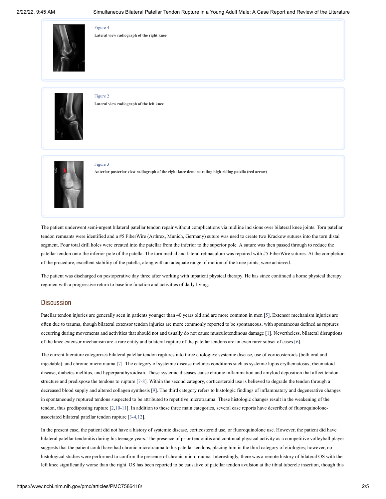

[Figure](https://www.ncbi.nlm.nih.gov/pmc/articles/PMC7586418/figure/FIG4/?report=objectonly) 4 **Lateral view radiograph of the right knee**



[Figure](https://www.ncbi.nlm.nih.gov/pmc/articles/PMC7586418/figure/FIG2/?report=objectonly) 2 **Lateral view radiograph of the left knee**



#### [Figure](https://www.ncbi.nlm.nih.gov/pmc/articles/PMC7586418/figure/FIG3/?report=objectonly) 3

**Anterior-posterior view radiograph of the right knee demonstrating high-riding patella (red arrow)**

The patient underwent semi-urgent bilateral patellar tendon repair without complications via midline incisions over bilateral knee joints. Torn patellar tendon remnants were identified and a #5 FiberWire (Arthrex, Munich, Germany) suture was used to create two Krackow sutures into the torn distal segment. Four total drill holes were created into the patellar from the inferior to the superior pole. A suture was then passed through to reduce the patellar tendon onto the inferior pole of the patella. The torn medial and lateral retinaculum was repaired with #5 FiberWire sutures. At the completion of the procedure, excellent stability of the patella, along with an adequate range of motion of the knee joints, were achieved.

The patient was discharged on postoperative day three after working with inpatient physical therapy. He has since continued a home physical therapy regimen with a progressive return to baseline function and activities of daily living.

### **Discussion**

Patellar tendon injuries are generally seen in patients younger than 40 years old and are more common in men [\[5](#page-4-4)]. Extensor mechanism injuries are often due to trauma, though bilateral extensor tendon injuries are more commonly reported to be spontaneous, with spontaneous defined as ruptures occurring during movements and activities that should not and usually do not cause musculotendinous damage [[1](#page-4-0)]. Nevertheless, bilateral disruptions of the knee extensor mechanism are a rare entity and bilateral rupture of the patellar tendons are an even rarer subset of cases [[6\]](#page-4-5).

The current literature categorizes bilateral patellar tendon ruptures into three etiologies: systemic disease, use of corticosteroids (both oral and injectable), and chronic microtrauma [[7\]](#page-4-6). The category of systemic disease includes conditions such as systemic lupus erythematosus, rheumatoid disease, diabetes mellitus, and hyperparathyroidism. These systemic diseases cause chronic inflammation and amyloid deposition that affect tendon structure and predispose the tendons to rupture [[7](#page-4-6)-[8\]](#page-4-7). Within the second category, corticosteroid use is believed to degrade the tendon through a decreased blood supply and altered collagen synthesis [[9](#page-4-8)]. The third category refers to histologic findings of inflammatory and degenerative changes in spontaneously ruptured tendons suspected to be attributed to repetitive microtrauma. These histologic changes result in the weakening of the tendon, thus predisposing rupture [[2](#page-4-3),[10](#page-4-9)[-11](#page-4-10)]. In addition to these three main categories, several case reports have described of fluoroquinoloneassociated bilateral patellar tendon rupture [\[3-](#page-4-1)[4](#page-4-2)[,12](#page-4-11)].

In the present case, the patient did not have a history of systemic disease, corticosteroid use, or fluoroquinolone use. However, the patient did have bilateral patellar tendonitis during his teenage years. The presence of prior tendonitis and continual physical activity as a competitive volleyball player suggests that the patient could have had chronic microtrauma to his patellar tendons, placing him in the third category of etiologies; however, no histological studies were performed to confirm the presence of chronic microtrauma. Interestingly, there was a remote history of bilateral OS with the left knee significantly worse than the right. OS has been reported to be causative of patellar tendon avulsion at the tibial tubercle insertion, though this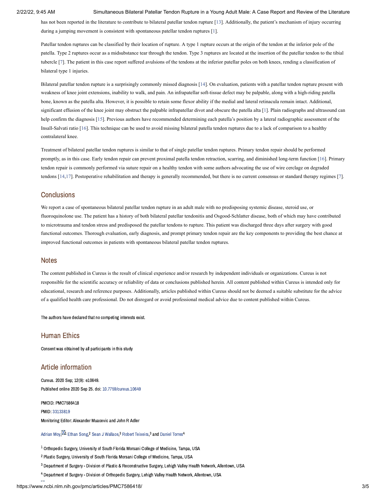#### 2/22/22, 9:45 AM Simultaneous Bilateral Patellar Tendon Rupture in a Young Adult Male: A Case Report and Review of the Literature

has not been reported in the literature to contribute to bilateral patellar tendon rupture [[13\]](#page-4-12). Additionally, the patient's mechanism of injury occurring during a jumping movement is consistent with spontaneous patellar tendon ruptures [\[1\]](#page-4-0).

Patellar tendon ruptures can be classified by their location of rupture. A type 1 rupture occurs at the origin of the tendon at the inferior pole of the patella. Type 2 ruptures occur as a midsubstance tear through the tendon. Type 3 ruptures are located at the insertion of the patellar tendon to the tibial tubercle [[7\]](#page-4-6). The patient in this case report suffered avulsions of the tendons at the inferior patellar poles on both knees, rending a classification of bilateral type 1 injuries.

Bilateral patellar tendon rupture is a surprisingly commonly missed diagnosis [[14\]](#page-4-13). On evaluation, patients with a patellar tendon rupture present with weakness of knee joint extensions, inability to walk, and pain. An infrapatellar soft-tissue defect may be palpable, along with a high-riding patella bone, known as the patella alta. However, it is possible to retain some flexor ability if the medial and lateral retinacula remain intact. Additional, significant effusion of the knee joint may obstruct the palpable infrapatellar divot and obscure the patella alta [\[1\]](#page-4-0). Plain radiographs and ultrasound can help confirm the diagnosis [[15](#page-4-14)]. Previous authors have recommended determining each patella's position by a lateral radiographic assessment of the Insall-Salvati ratio [[16\]](#page-4-15). This technique can be used to avoid missing bilateral patella tendon ruptures due to a lack of comparison to a healthy contralateral knee.

Treatment of bilateral patellar tendon ruptures is similar to that of single patellar tendon ruptures. Primary tendon repair should be performed promptly, as in this case. Early tendon repair can prevent proximal patella tendon retraction, scarring, and diminished long-term function [[16\]](#page-4-15). Primary tendon repair is commonly performed via suture repair on a healthy tendon with some authors advocating the use of wire cerclage on degraded tendons [\[14](#page-4-13),[17](#page-5-0)]. Postoperative rehabilitation and therapy is generally recommended, but there is no current consensus or standard therapy regimes [[7](#page-4-6)].

### **Conclusions**

We report a case of spontaneous bilateral patellar tendon rupture in an adult male with no predisposing systemic disease, steroid use, or fluoroquinolone use. The patient has a history of both bilateral patellar tendonitis and Osgood-Schlatter disease, both of which may have contributed to microtrauma and tendon stress and predisposed the patellar tendons to rupture. This patient was discharged three days after surgery with good functional outcomes. Thorough evaluation, early diagnosis, and prompt primary tendon repair are the key components to providing the best chance at improved functional outcomes in patients with spontaneous bilateral patellar tendon ruptures.

#### **Notes**

The content published in Cureus is the result of clinical experience and/or research by independent individuals or organizations. Cureus is not responsible for the scientific accuracy or reliability of data or conclusions published herein. All content published within Cureus is intended only for educational, research and reference purposes. Additionally, articles published within Cureus should not be deemed a suitable substitute for the advice of a qualified health care professional. Do not disregard or avoid professional medical advice due to content published within Cureus.

The authors have declared that no competing interests exist.

### Human Ethics

Consent was obtained by all participants in this study

### Article information

Cureus. 2020 Sep; 12(9): e10649. Published online 2020 Sep 25. doi: [10.7759/cureus.10649](https://dx.doi.org/10.7759%2Fcureus.10649)

PMCID: PMC7586418 PMID: [33133819](https://www.ncbi.nlm.nih.gov/pubmed/33133819) Monitoring Editor: Alexander Muacevic and John R Adler

#### [Adrian](https://www.ncbi.nlm.nih.gov/pubmed/?term=Moy%20A%5BAuthor%5D&cauthor=true&cauthor_uid=33133819) Moy. $^{\boxtimes 1}$  [Ethan](https://www.ncbi.nlm.nih.gov/pubmed/?term=Song%20E%5BAuthor%5D&cauthor=true&cauthor_uid=33133819) Song <sup>2</sup> Sean J [Wallace](https://www.ncbi.nlm.nih.gov/pubmed/?term=Wallace%20SJ%5BAuthor%5D&cauthor=true&cauthor_uid=33133819) <sup>3</sup> Robert [Teixeira](https://www.ncbi.nlm.nih.gov/pubmed/?term=Teixeira%20R%5BAuthor%5D&cauthor=true&cauthor_uid=33133819).<sup>3</sup> and [Daniel](https://www.ncbi.nlm.nih.gov/pubmed/?term=Torres%20D%5BAuthor%5D&cauthor=true&cauthor_uid=33133819) Torres<sup>4</sup>

 $^{\rm 1}$  Orthopedic Surgery, University of South Florida Morsani College of Medicine, Tampa, USA

<sup>2</sup> Plastic Surgery, University of South Florida Morsani College of Medicine, Tampa, USA

 $^3$  Department of Surgery - Division of Plastic & Reconstructive Surgery, Lehigh Valley Health Network, Allentown, USA

 $^4$  Department of Surgery - Division of Orthopedic Surgery, Lehigh Valley Health Network, Allentown, USA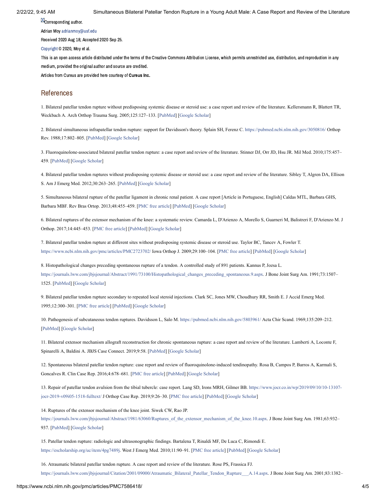**M**Corresponding author.

Adrian Moy [adrianmoy@usf.edu](mailto:dev@null)

Received 2020 Aug 18; Accepted 2020 Sep 25.

[Copyright](https://www.ncbi.nlm.nih.gov/pmc/about/copyright/) © 2020, Moy et al.

This is an open access article distributed under the terms of the Creative Commons Attribution License, which permits unrestricted use, distribution, and reproduction in any medium, provided the original author and source are credited.

Articles from Cureus are provided here courtesy of Cureus Inc.

### References

<span id="page-4-0"></span>1. Bilateral patellar tendon rupture without predisposing systemic disease or steroid use: a case report and review of the literature. Kellersmann R, Blattert TR, Weckbach A. Arch Orthop Trauma Surg. 2005;125:127–133. [\[PubMed](https://www.ncbi.nlm.nih.gov/pubmed/15645271)] [[Google Scholar\]](https://scholar.google.com/scholar_lookup?journal=Arch+Orthop+Trauma+Surg&title=Bilateral+patellar+tendon+rupture+without+predisposing+systemic+disease+or+steroid+use:+a+case+report+and+review+of+the+literature&volume=125&publication_year=2005&pages=127-133&pmid=15645271&)

<span id="page-4-3"></span>2. Bilateral simultaneous infrapatellar tendon rupture: support for Davidsson's theory. Splain SH, Ferenz C. <https://pubmed.ncbi.nlm.nih.gov/3050816/> Orthop Rev. 1988;17:802–805. [\[PubMed\]](https://www.ncbi.nlm.nih.gov/pubmed/3050816) [[Google Scholar\]](https://scholar.google.com/scholar_lookup?journal=Orthop+Rev&title=Bilateral+simultaneous+infrapatellar+tendon+rupture:+support+for+Davidsson%27s+theory&volume=17&publication_year=1988&pages=802-805&pmid=3050816&)

<span id="page-4-1"></span>3. Fluoroquinolone-associated bilateral patellar tendon rupture: a case report and review of the literature. Stinner DJ, Orr JD, Hsu JR. Mil Med. 2010;175:457– 459. [\[PubMed\]](https://www.ncbi.nlm.nih.gov/pubmed/20572481) [\[Google Scholar\]](https://scholar.google.com/scholar_lookup?journal=Mil+Med&title=Fluoroquinolone-associated+bilateral+patellar+tendon+rupture:+a+case+report+and+review+of+the+literature&volume=175&publication_year=2010&pages=457-459&pmid=20572481&)

<span id="page-4-2"></span>4. Bilateral patellar tendon ruptures without predisposing systemic disease or steroid use: a case report and review of the literature. Sibley T, Algren DA, Ellison S. Am J Emerg Med. 2012;30:263–265. [[PubMed](https://www.ncbi.nlm.nih.gov/pubmed/21185665)] [[Google Scholar](https://scholar.google.com/scholar_lookup?journal=Am+J+Emerg+Med&title=Bilateral+patellar+tendon+ruptures+without+predisposing+systemic+disease+or+steroid+use:+a+case+report+and+review+of+the+literature&volume=30&publication_year=2012&pages=263-265&)]

<span id="page-4-4"></span>5. Simultaneous bilateral rupture of the patellar ligament in chronic renal patient. A case report [Article in Portuguese, English] Caldas MTL, Barbara GHS, Barbara MBF. Rev Bras Ortop. 2013;48:455–459. [[PMC free article\]](https://www.ncbi.nlm.nih.gov/pmc/articles/PMC6565983/?report=reader) [\[PubMed\]](https://www.ncbi.nlm.nih.gov/pubmed/31304152) [[Google Scholar](https://scholar.google.com/scholar_lookup?journal=Rev+Bras+Ortop&title=Simultaneous+bilateral+rupture+of+the+patellar+ligament+in+chronic+renal+patient.+A+case+report+[Article+in+Portuguese,+English]&volume=48&publication_year=2013&pages=455-459&pmid=31304152&)]

<span id="page-4-5"></span>6. Bilateral ruptures of the extensor mechanism of the knee: a systematic review. Camarda L, D'Arienzo A, Morello S, Guarneri M, Balistreri F, D'Arienzo M. J Orthop. 2017;14:445–453. [\[PMC free article](https://www.ncbi.nlm.nih.gov/pmc/articles/PMC5548366/?report=reader)] [[PubMed\]](https://www.ncbi.nlm.nih.gov/pubmed/28819342) [\[Google Scholar\]](https://scholar.google.com/scholar_lookup?journal=J+Orthop&title=Bilateral+ruptures+of+the+extensor+mechanism+of+the+knee:+a+systematic+review&volume=14&publication_year=2017&pages=445-453&pmid=28819342&)

<span id="page-4-6"></span>7. Bilateral patellar tendon rupture at different sites without predisposing systemic disease or steroid use. Taylor BC, Tancev A, Fowler T. [https://www.ncbi.nlm.nih.gov/pmc/articles/PMC2723702/](https://www.ncbi.nlm.nih.gov/pmc/articles/PMC2723702/?report=reader) Iowa Orthop J. 2009;29:100–104. [\[PMC free article](https://www.ncbi.nlm.nih.gov/pmc/articles/PMC2723702/?report=reader)] [\[PubMed\]](https://www.ncbi.nlm.nih.gov/pubmed/19742095) [\[Google Scholar\]](https://scholar.google.com/scholar_lookup?journal=Iowa+Orthop+J&title=Bilateral+patellar+tendon+rupture+at+different+sites+without+predisposing+systemic+disease+or+steroid+use&volume=29&publication_year=2009&pages=100-104&pmid=19742095&)

<span id="page-4-7"></span>8. Histopathological changes preceding spontaneous rupture of a tendon. A controlled study of 891 patients. Kannus P, Jozsa L. [https://journals.lww.com/jbjsjournal/Abstract/1991/73100/Histopathological\\_changes\\_preceding\\_spontaneous.9.aspx.](https://journals.lww.com/jbjsjournal/Abstract/1991/73100/Histopathological_changes_preceding_spontaneous.9.aspx) J Bone Joint Surg Am. 1991;73:1507– 1525. [\[PubMed\]](https://www.ncbi.nlm.nih.gov/pubmed/1748700) [\[Google Scholar\]](https://scholar.google.com/scholar_lookup?journal=J+Bone+Joint+Surg+Am&title=Histopathological+changes+preceding+spontaneous+rupture+of+a+tendon.+A+controlled+study+of+891+patients&volume=73&publication_year=1991&pages=1507-1525&pmid=1748700&)

<span id="page-4-8"></span>9. Bilateral patellar tendon rupture secondary to repeated local steroid injections. Clark SC, Jones MW, Choudhury RR, Smith E. J Accid Emerg Med. 1995;12:300–301. [\[PMC free article](https://www.ncbi.nlm.nih.gov/pmc/articles/PMC1342589/?report=reader)] [[PubMed\]](https://www.ncbi.nlm.nih.gov/pubmed/8775966) [[Google Scholar](https://scholar.google.com/scholar_lookup?journal=J+Accid+Emerg+Med&title=Bilateral+patellar+tendon+rupture+secondary+to+repeated+local+steroid+injections&volume=12&publication_year=1995&pages=300-301&pmid=8775966&)]

<span id="page-4-9"></span>10. Pathogenesis of subcutaneous tendon ruptures. Davidsson L, Salo M. <https://pubmed.ncbi.nlm.nih.gov/5803961/> Acta Chir Scand. 1969;135:209–212. [\[PubMed\]](https://www.ncbi.nlm.nih.gov/pubmed/5803961) [[Google Scholar\]](https://scholar.google.com/scholar_lookup?journal=Acta+Chir+Scand&title=Pathogenesis+of+subcutaneous+tendon+ruptures&volume=135&publication_year=1969&pages=209-212&pmid=5803961&)

<span id="page-4-10"></span>11. Bilateral extensor mechanism allograft reconstruction for chronic spontaneous rupture: a case report and review of the literature. Lamberti A, Loconte F, Spinarelli A, Baldini A. JBJS Case Connect. 2019;9:58. [\[PubMed](https://www.ncbi.nlm.nih.gov/pubmed/31140984)] [\[Google Scholar](https://scholar.google.com/scholar_lookup?journal=JBJS+Case+Connect&title=Bilateral+extensor+mechanism+allograft+reconstruction+for+chronic+spontaneous+rupture:+a+case+report+and+review+of+the+literature&volume=9&publication_year=2019&pages=58&)]

<span id="page-4-11"></span>12. Spontaneous bilateral patellar tendon rupture: case report and review of fluoroquinolone-induced tendinopathy. Rosa B, Campos P, Barros A, Karmali S, Goncalves R. Clin Case Rep. 2016;4:678–681. [[PMC free article\]](https://www.ncbi.nlm.nih.gov/pmc/articles/PMC4929805/?report=reader) [[PubMed](https://www.ncbi.nlm.nih.gov/pubmed/27386128)] [[Google Scholar\]](https://scholar.google.com/scholar_lookup?journal=Clin+Case+Rep&title=Spontaneous+bilateral+patellar+tendon+rupture:+case+report+and+review+of+fluoroquinolone-induced+tendinopathy&volume=4&publication_year=2016&pages=678-681&pmid=27386128&)

<span id="page-4-12"></span>[13. Repair of patellar tendon avulsion from the tibial tubercle: case report. Lang SD, Irons MRH, Gilmer BB. https://www.jocr.co.in/wp/2019/09/10/10-13107](https://www.jocr.co.in/wp/2019/09/10/10-13107-jocr-2019-v09i05-1518-fulltext/) jocr-2019-v09i05-1518-fulltext/ J Orthop Case Rep. 2019;9:26–30. [\[PMC free article](https://www.ncbi.nlm.nih.gov/pmc/articles/PMC7276613/?report=reader)] [[PubMed](https://www.ncbi.nlm.nih.gov/pubmed/32547998)] [\[Google Scholar](https://scholar.google.com/scholar_lookup?journal=J+Orthop+Case+Rep&title=Repair+of+patellar+tendon+avulsion+from+the+tibial+tubercle:+case+report&volume=9&publication_year=2019&pages=26-30&)]

<span id="page-4-13"></span>14. Ruptures of the extensor mechanism of the knee joint. Siwek CW, Rao JP. [https://journals.lww.com/jbjsjournal/Abstract/1981/63060/Ruptures\\_of\\_the\\_extensor\\_mechanism\\_of\\_the\\_knee.10.aspx.](https://journals.lww.com/jbjsjournal/Abstract/1981/63060/Ruptures_of_the_extensor_mechanism_of_the_knee.10.aspx) J Bone Joint Surg Am. 1981;63:932– 937. [\[PubMed\]](https://www.ncbi.nlm.nih.gov/pubmed/6985557) [\[Google Scholar\]](https://scholar.google.com/scholar_lookup?journal=J+Bone+Joint+Surg+Am&title=Ruptures+of+the+extensor+mechanism+of+the+knee+joint&volume=63&publication_year=1981&pages=932-937&pmid=6985557&)

<span id="page-4-14"></span>15. Patellar tendon rupture: radiologic and ultrasonographic findings. Bartalena T, Rinaldi MF, De Luca C, Rimondi E. <https://escholarship.org/uc/item/4pg7489j>. West J Emerg Med. 2010;11:90–91. [[PMC free article\]](https://www.ncbi.nlm.nih.gov/pmc/articles/PMC2850864/?report=reader) [[PubMed](https://www.ncbi.nlm.nih.gov/pubmed/20411086)] [\[Google Scholar\]](https://scholar.google.com/scholar_lookup?journal=West+J+Emerg+Med&title=Patellar+tendon+rupture:+radiologic+and+ultrasonographic+findings&volume=11&publication_year=2010&pages=90-91&pmid=20411086&)

<span id="page-4-15"></span>16. Atraumatic bilateral patellar tendon rupture. A case report and review of the literature. Rose PS, Frassica FJ. [https://journals.lww.com/jbjsjournal/Citation/2001/09000/Atraumatic\\_Bilateral\\_Patellar\\_Tendon\\_Rupture\\_\\_\\_A.14.aspx](https://journals.lww.com/jbjsjournal/Citation/2001/09000/Atraumatic_Bilateral_Patellar_Tendon_Rupture___A.14.aspx). J Bone Joint Surg Am. 2001;83:1382–